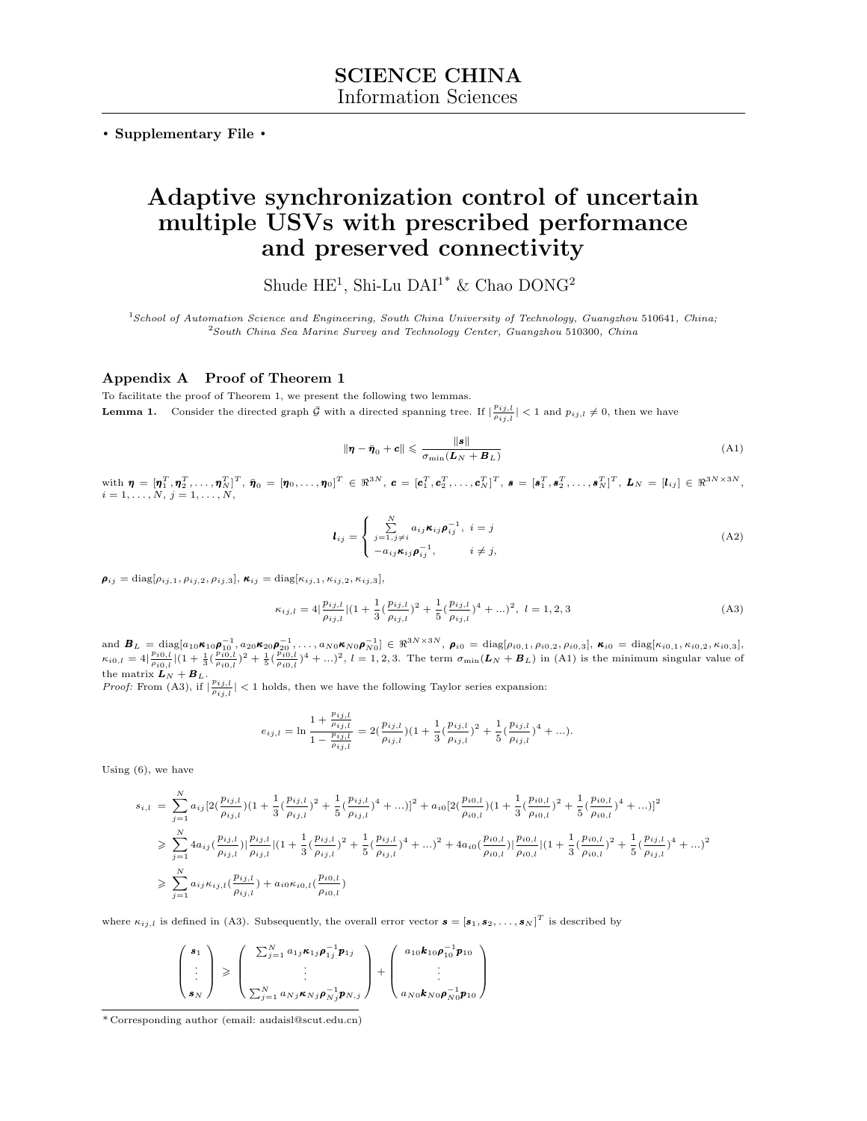**. Supplementary File .**

## **Adaptive synchronization control of uncertain multiple USVs with prescribed performance and preserved connectivity**

Shude HE<sup>1</sup>, Shi-Lu DAI<sup>1\*</sup> & Chao DONG<sup>2</sup>

<sup>1</sup>*School of Automation Science and Engineering, South China University of Technology, Guangzhou* 510641*, China;* <sup>2</sup>*South China Sea Marine Survey and Technology Center, Guangzhou* 510300*, China*

## **Appendix A Proof of Theorem 1**

To facilitate the proof of Theorem 1, we present the following two lemmas. **Lemma 1.** Consider the directed graph  $\bar{\mathcal{G}}$  with a directed spanning tree. If  $|\frac{p_{ij,l}}{p_{ij,l}}| < 1$  and  $p_{ij,l} \neq 0$ , then we have

$$
\|\boldsymbol{\eta} - \bar{\boldsymbol{\eta}}_0 + \boldsymbol{c}\| \leqslant \frac{\|\boldsymbol{s}\|}{\sigma_{\min}(\boldsymbol{L}_N + \boldsymbol{B}_L)}
$$
(A1)

 $\text{with } \bm{\eta} \, = \, [\bm{\eta}_1^T, \bm{\eta}_2^T, \ldots, \bm{\eta}_N^T]^T, \, \bar{\bm{\eta}}_0 \, = \, [\bm{\eta}_0, \ldots, \bm{\eta}_0]^T \, \in \, \Re^{3N}, \, \bm{c} \, = \, [\bm{c}_1^T, \bm{c}_2^T, \ldots, \bm{c}_N^T]^T, \, \bm{s} \, = \, [\bm{s}_1^T, \bm{s}_2^T, \ldots, \bm{s}_N^T]^T, \, L_N \, = \, [l_{ij}] \, \in \, \Re^{3N \times 3N},$  $i = 1, \ldots, N, j = 1, \ldots, N$ 

$$
l_{ij} = \begin{cases} \sum_{j=1,j\neq i}^{N} a_{ij} \kappa_{ij} \rho_{ij}^{-1}, & i = j\\ -a_{ij} \kappa_{ij} \rho_{ij}^{-1}, & i \neq j, \end{cases}
$$
(A2)

 $\rho_{ij} = \text{diag}[\rho_{ij,1}, \rho_{ij,2}, \rho_{ij,3}], \kappa_{ij} = \text{diag}[\kappa_{ij,1}, \kappa_{ij,2}, \kappa_{ij,3}],$ 

$$
\kappa_{ij,l} = 4\left|\frac{p_{ij,l}}{\rho_{ij,l}}\right| \left(1 + \frac{1}{3}\left(\frac{p_{ij,l}}{\rho_{ij,l}}\right)^2 + \frac{1}{5}\left(\frac{p_{ij,l}}{\rho_{ij,l}}\right)^4 + \ldots\right)^2, \ l = 1,2,3
$$
\n(A3)

and  $B_L = \text{diag}[a_{10} \kappa_{10} \rho_{10}^{-1}, a_{20} \kappa_{20} \rho_{20}^{-1}, \dots, a_{N0} \kappa_{N0} \rho_{N0}^{-1}] \in \Re^{3N \times 3N}, \ \rho_{i0} = \text{diag}[a_{i0,1}, a_{i0,2}, a_{i0,3}], \ \kappa_{i0} = \text{diag}[\kappa_{i0,1}, \kappa_{i0,2}, \kappa_{i0,3}],$  $\kappa_{i0,l} = 4\left|\frac{p_{i0,l}}{\rho_{i0,l}}\right| \left(1 + \frac{1}{3}\left(\frac{p_{i0,l}}{\rho_{i0,l}}\right)^2 + \frac{1}{5}\left(\frac{p_{i0,l}}{\rho_{i0,l}}\right)^4 + ...\right)^2$ ,  $l = 1, 2, 3$ . The term  $\sigma_{\min}(\mathbf{L}_N + \mathbf{B}_L)$  in (A1) is the minimum singular value of the matrix  $\boldsymbol{L}_N + \boldsymbol{B}_L$ .

*Proof:* From (A3), if  $|\frac{p_{ij,l}}{p_{ij,l}}|$  < 1 holds, then we have the following Taylor series expansion:

$$
e_{ij,l} = \ln \frac{1 + \frac{p_{ij,l}}{\rho_{ij,l}}}{1 - \frac{p_{ij,l}}{\rho_{ij,l}}} = 2(\frac{p_{ij,l}}{\rho_{ij,l}})(1 + \frac{1}{3}(\frac{p_{ij,l}}{\rho_{ij,l}})^2 + \frac{1}{5}(\frac{p_{ij,l}}{\rho_{ij,l}})^4 + \ldots).
$$

Using (6), we have

$$
s_{i,l} = \sum_{j=1}^{N} a_{ij} \left[ 2\left(\frac{p_{ij,l}}{\rho_{ij,l}}\right) \left(1 + \frac{1}{3} \left(\frac{p_{ij,l}}{\rho_{ij,l}}\right)^2 + \frac{1}{5} \left(\frac{p_{ij,l}}{\rho_{ij,l}}\right)^4 + \ldots\right)\right]^2 + a_{i0} \left[ 2\left(\frac{p_{i0,l}}{\rho_{i0,l}}\right) \left(1 + \frac{1}{3} \left(\frac{p_{i0,l}}{\rho_{i0,l}}\right)^2 + \frac{1}{5} \left(\frac{p_{i0,l}}{\rho_{i0,l}}\right)^4 + \ldots\right)\right]^2
$$
  
\n
$$
\geq \sum_{j=1}^{N} 4a_{ij} \left(\frac{p_{ij,l}}{\rho_{ij,l}}\right) \left|\frac{p_{ij,l}}{\rho_{ij,l}}\right| \left(1 + \frac{1}{3} \left(\frac{p_{ij,l}}{\rho_{ij,l}}\right)^2 + \frac{1}{5} \left(\frac{p_{ij,l}}{\rho_{ij,l}}\right)^4 + \ldots\right)^2 + 4a_{i0} \left(\frac{p_{i0,l}}{\rho_{i0,l}}\right) \left|\frac{p_{i0,l}}{\rho_{i0,l}}\right| \left(1 + \frac{1}{3} \left(\frac{p_{i0,l}}{\rho_{i0,l}}\right)^2 + \frac{1}{5} \left(\frac{p_{ij,l}}{\rho_{ij,l}}\right)^4 + \ldots\right)^2
$$
  
\n
$$
\geq \sum_{j=1}^{N} a_{ij} \kappa_{ij,l} \left(\frac{p_{ij,l}}{\rho_{ij,l}}\right) + a_{i0} \kappa_{i0,l} \left(\frac{p_{i0,l}}{\rho_{i0,l}}\right)
$$

where  $\kappa_{ij,l}$  is defined in (A3). Subsequently, the overall error vector  $\mathbf{s} = [\mathbf{s}_1, \mathbf{s}_2, \dots, \mathbf{s}_N]^T$  is described by

$$
\begin{pmatrix}\ns_1 \\
\vdots \\
s_N\n\end{pmatrix}\n\geq \begin{pmatrix}\n\sum_{j=1}^N a_{1j}\kappa_{1j}\rho_{1j}^{-1}p_{1j} \\
\vdots \\
\sum_{j=1}^N a_{Nj}\kappa_{Nj}\rho_{Nj}^{-1}p_{N,j}\n\end{pmatrix} + \begin{pmatrix}\na_{10}k_{10}\rho_{10}^{-1}p_{10} \\
\vdots \\
a_{N0}k_{N0}\rho_{N0}^{-1}p_{10}\n\end{pmatrix}
$$

<sup>\*</sup> Corresponding author (email: audaisl@scut.edu.cn)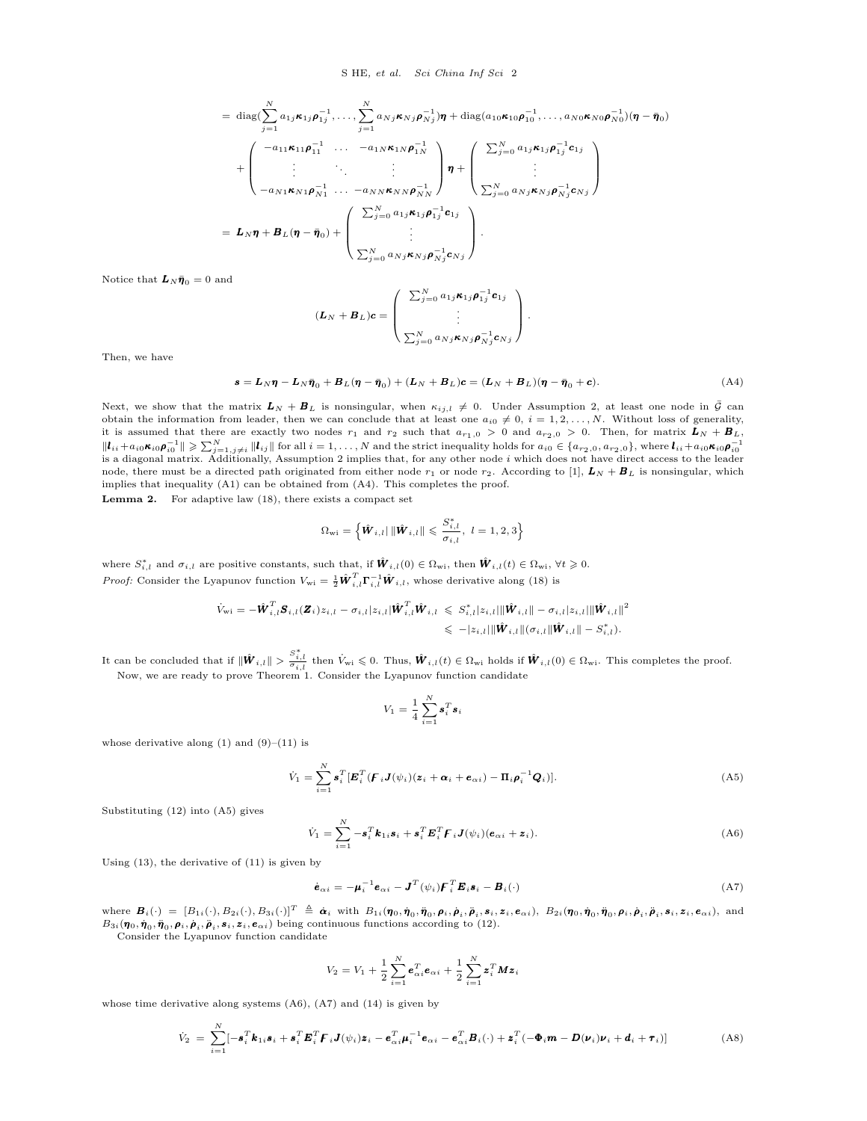$$
= \operatorname{diag}(\sum_{j=1}^{N} a_{1j} \kappa_{1j} \rho_{1j}^{-1}, \dots, \sum_{j=1}^{N} a_{Nj} \kappa_{Nj} \rho_{Nj}^{-1}) \eta + \operatorname{diag}(a_{10} \kappa_{10} \rho_{10}^{-1}, \dots, a_{N0} \kappa_{N0} \rho_{N0}^{-1}) (\eta - \bar{\eta}_0)
$$
  
+ 
$$
\begin{pmatrix} -a_{11} \kappa_{11} \rho_{11}^{-1} & \cdots & -a_{1N} \kappa_{1N} \rho_{1N}^{-1} \\ \vdots & \vdots & \ddots & \vdots \\ -a_{N1} \kappa_{N1} \rho_{N1}^{-1} & \cdots & -a_{NN} \kappa_{NN} \rho_{NN}^{-1} \end{pmatrix} \eta + \begin{pmatrix} \sum_{j=0}^{N} a_{1j} \kappa_{1j} \rho_{1j}^{-1} \mathbf{c}_{1j} \\ \vdots \\ \sum_{j=0}^{N} a_{Nj} \kappa_{Nj} \rho_{Nj}^{-1} \mathbf{c}_{Nj} \end{pmatrix}
$$
  
=  $\mathbf{L}_N \eta + \mathbf{B}_L (\eta - \bar{\eta}_0) + \begin{pmatrix} \sum_{j=0}^{N} a_{1j} \kappa_{1j} \rho_{1j}^{-1} \mathbf{c}_{1j} \\ \vdots \\ \sum_{j=0}^{N} a_{Nj} \kappa_{Nj} \rho_{Nj}^{-1} \mathbf{c}_{Nj} \end{pmatrix}.$ 

Notice that  $\mathbf{L}_N \bar{\pmb{\eta}}_0 = 0$  and

$$
(\boldsymbol{L}_N + \boldsymbol{B}_L)\boldsymbol{c} = \begin{pmatrix} \sum_{j=0}^N a_{1j}\boldsymbol{\kappa}_{1j}\boldsymbol{\rho}_{1j}^{-1}\boldsymbol{c}_{1j} \\ \vdots \\ \sum_{j=0}^N a_{Nj}\boldsymbol{\kappa}_{Nj}\boldsymbol{\rho}_{Nj}^{-1}\boldsymbol{c}_{Nj} \end{pmatrix}.
$$

Then, we have

$$
\mathbf{s} = \mathbf{L}_N \boldsymbol{\eta} - \mathbf{L}_N \bar{\boldsymbol{\eta}}_0 + \mathbf{B}_L (\boldsymbol{\eta} - \bar{\boldsymbol{\eta}}_0) + (\mathbf{L}_N + \mathbf{B}_L) \mathbf{c} = (\mathbf{L}_N + \mathbf{B}_L) (\boldsymbol{\eta} - \bar{\boldsymbol{\eta}}_0 + \mathbf{c}). \tag{A4}
$$

Next, we show that the matrix  $L_N + B_L$  is nonsingular, when  $\kappa_{i,j,l} \neq 0$ . Under Assumption 2, at least one node in  $\bar{G}$  can obtain the information from leader, then we can conclude that at least one  $a_{i0} \neq 0$ ,  $i = 1, 2, \ldots, N$ . Without loss of generality, it is assumed that there are exactly two nodes  $r_1$  and  $r_2$  such that  $a_{r_1,0} > 0$  and  $a_{r_2,0} > 0$ . Then, for matrix  $L_N + B_L$ ,  $\|\bm{l}_{ii} + a_{i0}\bm{\kappa}_{i0}\bm{\rho}_{i0}^{-1}\| \geqslant \sum_{j=1, j\neq i}^{N} \|\bm{l}_{ij}\|$  for all  $i = 1, ..., N$  and the strict inequality holds for  $a_{i0} \in \{a_{r_2,0}, a_{r_2,0}\}$ , where  $\bm{l}_{ii} + a_{i0}\bm{\kappa}_{i0}\bm{\rho}_{i0}^{-1}$ <br>is a diagonal matrix. Additionally node, there must be a directed path originated from either node  $r_1$  or node  $r_2$ . According to [1],  $L_N + B_L$  is nonsingular, which implies that inequality (A1) can be obtained from (A4). This completes the proof.

**Lemma 2.** For adaptive law (18), there exists a compact set

$$
\Omega_{\rm wi} = \left\{ \hat{\bm{W}}_{i,l} | \|\hat{\bm{W}}_{i,l}\| \leqslant \frac{S_{i,l}^{*}}{\sigma_{i,l}}, \ l = 1,2,3 \right\}
$$

where  $S_{i,l}^*$  and  $\sigma_{i,l}$  are positive constants, such that, if  $\hat{\boldsymbol{W}}_{i,l}(0) \in \Omega_{\text{wi}}$ , then  $\hat{\boldsymbol{W}}_{i,l}(t) \in \Omega_{\text{wi}}$ ,  $\forall t \geq 0$ . *Proof:* Consider the Lyapunov function  $V_{wi} = \frac{1}{2} \hat{\boldsymbol{W}}_{i,l}^T \boldsymbol{\Gamma}_{i,l}^{-1} \hat{\boldsymbol{W}}_{i,l}$ , whose derivative along (18) is

$$
\begin{aligned} \dot{V}_{\rm wi} & = -\hat{\bm{W}}_{i,l}^T \bm{S}_{i,l}(\bm{Z}_i) z_{i,l} - \sigma_{i,l} |z_{i,l}| \hat{\bm{W}}_{i,l}^T \hat{\bm{W}}_{i,l} \leqslant S_{i,l}^* |z_{i,l}| \|\hat{\bm{W}}_{i,l}\| - \sigma_{i,l} |z_{i,l}| \|\hat{\bm{W}}_{i,l}\|^2 \\ & \leqslant -|z_{i,l}| \|\hat{\bm{W}}_{i,l}\| (\sigma_{i,l} \| \hat{\bm{W}}_{i,l} \| - S_{i,l}^*). \end{aligned}
$$

It can be concluded that if  $\|\hat{\boldsymbol{W}}_{i,l}\| > \frac{S_{i,l}^*}{\sigma_{i,l}}$  then  $\dot{V}_{wi} \leqslant 0$ . Thus,  $\hat{\boldsymbol{W}}_{i,l}(t) \in \Omega_{wi}$  holds if  $\hat{\boldsymbol{W}}_{i,l}(0) \in \Omega_{wi}$ . This completes the proof. Now, we are ready to prove Theorem 1. Consider the Lyapunov function candidate

$$
V_1 = \frac{1}{4}\sum_{i=1}^N \pmb{s}_i^T\pmb{s}_i
$$

whose derivative along  $(1)$  and  $(9)–(11)$  is

$$
\dot{V}_1 = \sum_{i=1}^N \boldsymbol{s}_i^T [\boldsymbol{E}_i^T (\boldsymbol{F}_i \boldsymbol{J}(\psi_i) (\boldsymbol{z}_i + \boldsymbol{\alpha}_i + \boldsymbol{e}_{\alpha i}) - \boldsymbol{\Pi}_i \boldsymbol{\rho}_i^{-1} \boldsymbol{Q}_i)].
$$
\n(A5)

Substituting (12) into (A5) gives

$$
\dot{V}_1 = \sum_{i=1}^N -\boldsymbol{s}_i^T \boldsymbol{k}_{1i} \boldsymbol{s}_i + \boldsymbol{s}_i^T \boldsymbol{E}_i^T \boldsymbol{F}_i \boldsymbol{J}(\psi_i) (\boldsymbol{e}_{\alpha i} + \boldsymbol{z}_i).
$$
\n(A6)

Using (13), the derivative of (11) is given by

$$
\dot{\mathbf{e}}_{\alpha i} = -\boldsymbol{\mu}_i^{-1} \mathbf{e}_{\alpha i} - \boldsymbol{J}^T (\psi_i) \boldsymbol{F}_i^T \boldsymbol{E}_i \boldsymbol{s}_i - \boldsymbol{B}_i (\cdot) \tag{A7}
$$

where  $\bm{B}_i(\cdot) = [B_{1i}(\cdot), B_{2i}(\cdot), B_{3i}(\cdot)]^T \triangleq \dot{\bm{\alpha}}_i$  with  $B_{1i}(\bm{\eta}_0, \dot{\bm{\eta}}_0, \dot{\bm{\eta}}_0, \dot{\bm{\rho}}_i, \dot{\bm{\rho}}_i, \dot{\bm{\rho}}_i, \dot{\bm{s}}_i, \bm{z}_i, \bm{e}_{\alpha i}), B_{2i}(\bm{\eta}_0, \dot{\bm{\eta}}_0, \dot{\bm{\eta}}_0, \dot{\bm{\rho}}_i, \dot{\bm{s}}_i, \bm{z}_i, \bm{e}_{\alpha i})$  $B_{3i}(\eta_0, \dot{\eta}_0, \ddot{\eta}_0, \rho_i, \dot{\rho}_i, \ddot{\rho}_i, s_i, \mathbf{z}_i, \mathbf{e}_{\alpha i})$  being continuous functions according to (12).

Consider the Lyapunov function candidate

$$
V_2 = V_1 + \frac{1}{2} \sum_{i=1}^N \boldsymbol{e}_{\alpha i}^T \boldsymbol{e}_{\alpha i} + \frac{1}{2} \sum_{i=1}^N \boldsymbol{z}_i^T \boldsymbol{M} \boldsymbol{z}_i
$$

whose time derivative along systems (A6), (A7) and (14) is given by

$$
\dot{V}_2 = \sum_{i=1}^N [-\boldsymbol{s}_i^T \boldsymbol{k}_{1i} \boldsymbol{s}_i + \boldsymbol{s}_i^T \boldsymbol{E}_i^T \boldsymbol{F}_i \boldsymbol{J}(\psi_i) \boldsymbol{z}_i - \boldsymbol{e}_{\alpha i}^T \boldsymbol{\mu}_i^{-1} \boldsymbol{e}_{\alpha i} - \boldsymbol{e}_{\alpha i}^T \boldsymbol{B}_i(\cdot) + \boldsymbol{z}_i^T (-\boldsymbol{\Phi}_i \boldsymbol{m} - \boldsymbol{D}(\boldsymbol{\nu}_i) \boldsymbol{\nu}_i + \boldsymbol{d}_i + \boldsymbol{\tau}_i)]
$$
(A8)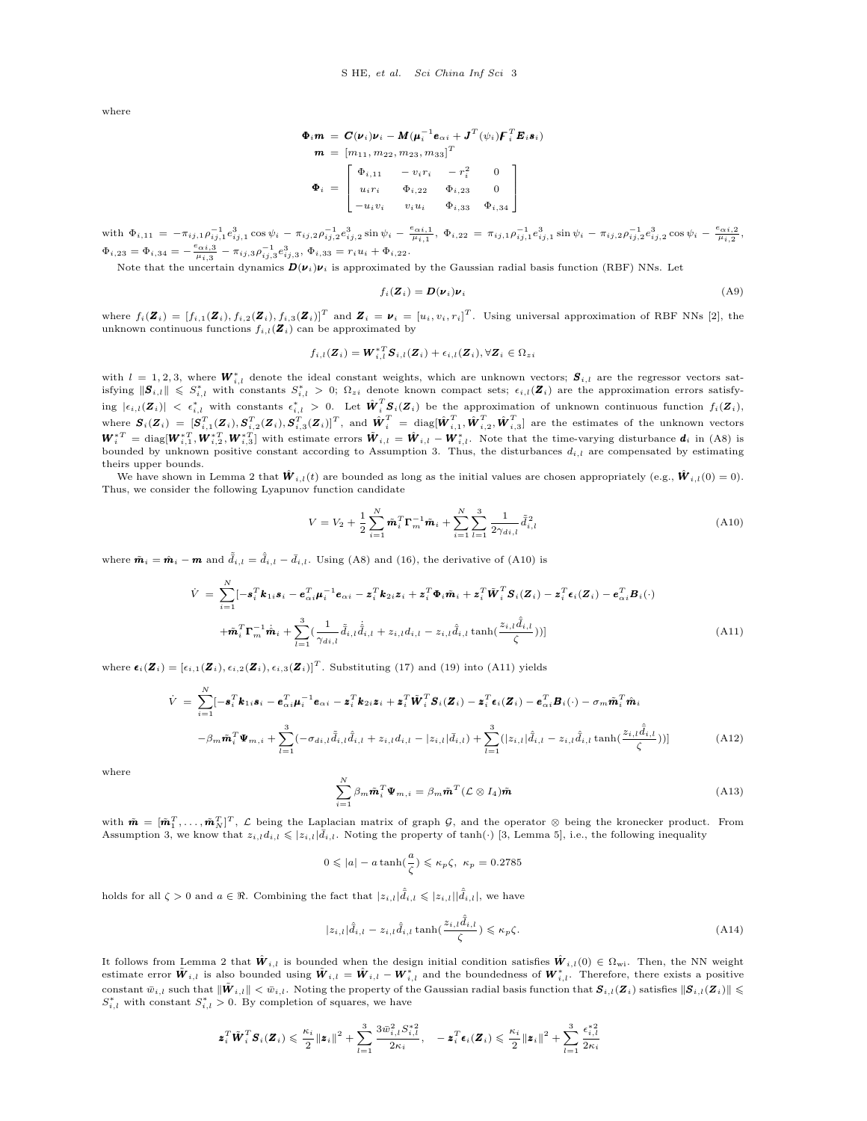where

$$
\begin{aligned}\n\Phi_i m &= C(\nu_i)\nu_i - M(\mu_i^{-1}\mathbf{e}_{\alpha i} + J^T(\psi_i))\mathbf{F}_i^T \mathbf{E}_i \mathbf{s}_i) \\
m &= [m_{11}, m_{22}, m_{23}, m_{33}]^T \\
\Phi_i &= \begin{bmatrix} \Phi_{i,11} & -v_i r_i & -r_i^2 & 0 \\
u_i r_i & \Phi_{i,22} & \Phi_{i,23} & 0 \\
-u_i v_i & v_i u_i & \Phi_{i,33} & \Phi_{i,34}\n\end{bmatrix}\n\end{aligned}
$$

with  $\Phi_{i,11} = -\pi_{ij,1}\rho_{ij,1}^{-1}e_{ij,1}^3\cos\psi_i - \pi_{ij,2}\rho_{ij,2}^{-1}e_{ij,2}^3\sin\psi_i - \frac{e_{\alpha i,1}}{\mu_{i,1}}, \ \Phi_{i,22} = \pi_{ij,1}\rho_{ij,1}^{-1}e_{ij,1}^3\sin\psi_i - \pi_{ij,2}\rho_{ij,2}^{-1}e_{ij,2}^3\cos\psi_i - \frac{e_{\alpha i,2}}{\mu_{i,2}},$  $\Phi_{i,23} = \Phi_{i,34} = -\frac{e_{\alpha i,3}}{\mu_{i,3}} - \pi_{ij,3} \rho_{ij,3}^{-1} e_{ij,3}^3, \Phi_{i,33} = r_i u_i + \Phi_{i,22}.$ 

Note that the uncertain dynamics  $D(\nu_i)\nu_i$  is approximated by the Gaussian radial basis function (RBF) NNs. Let

$$
f_i(\mathbf{Z}_i) = \mathbf{D}(\mathbf{\nu}_i)\mathbf{\nu}_i
$$
\n(A9)

where  $f_i(\mathbf{Z}_i) = [f_{i,1}(\mathbf{Z}_i), f_{i,2}(\mathbf{Z}_i), f_{i,3}(\mathbf{Z}_i)]^T$  and  $\mathbf{Z}_i = \boldsymbol{\nu}_i = [u_i, v_i, r_i]^T$ . Using universal approximation of RBF NNs [2], the unknown continuous functions  $f_{i,l}(\mathbf{Z}_i)$  can be approximated by

$$
f_{i,l}(\boldsymbol{Z}_i) = \boldsymbol{W}_{i,l}^{*T} \boldsymbol{S}_{i,l}(\boldsymbol{Z}_i) + \epsilon_{i,l}(\boldsymbol{Z}_i), \forall \boldsymbol{Z}_i \in \Omega_{zi}
$$

with  $l = 1,2,3,$  where  $\pmb{W}_{i,l}^*$  denote the ideal constant weights, which are unknown vectors;  $\pmb{S}_{i,l}$  are the regressor vectors satisfying  $\|\mathbf{S}_{i,l}\| \leqslant S_{i,l}^*$  with constants  $S_{i,l}^* > 0$ ;  $\Omega_{zi}$  denote known compact sets;  $\epsilon_{i,l}(\mathbf{Z}_i)$  are the approximation errors satisfying  $|\epsilon_{i,l}(Z_i)| < \epsilon_{i,l}^*$  with constants  $\epsilon_{i,l}^* > 0$ . Let  $\hat{W}_i^T S_i(Z_i)$  be the approximation of unknown continuous function  $f_i(Z_i)$ , where  $\boldsymbol{S}_i(\boldsymbol{Z}_i) = [\boldsymbol{S}_{i,1}^T(\boldsymbol{Z}_i),\boldsymbol{S}_{i,2}^T(\boldsymbol{Z}_i),\boldsymbol{S}_{i,3}^T(\boldsymbol{Z}_i)]^T,$  and  $\hat{\boldsymbol{W}}_i^T = \text{diag}[\hat{\boldsymbol{W}}_{i,1}^T,\hat{\boldsymbol{W}}_{i,2}^T,\hat{\boldsymbol{W}}_{i,3}^T]$  are the estimates of the unknown vectors  $\boldsymbol{W}_i^{*T} = \text{diag}[\boldsymbol{W}_{i,1}^{*T}, \boldsymbol{W}_{i,2}^{*T}, \boldsymbol{W}_{i,3}^{*T}]$  with estimate errors  $\boldsymbol{\tilde{W}}_{i,l} = \boldsymbol{\hat{W}}_{i,l} - \boldsymbol{W}_{i,l}^*$ . Note that the time-varying disturbance  $\boldsymbol{d}_i$  in (A8) is bounded by unknown positive constant according to Assumption 3. Thus, the disturbances  $d_{i,l}$  are compensated by estimating theirs upper bounds.

We have shown in Lemma 2 that  $\hat{W}_{i,l}(t)$  are bounded as long as the initial values are chosen appropriately (e.g.,  $\hat{W}_{i,l}(0) = 0$ ). Thus, we consider the following Lyapunov function candidate

$$
V = V_2 + \frac{1}{2} \sum_{i=1}^{N} \tilde{\boldsymbol{m}}_i^T \boldsymbol{\Gamma}_m^{-1} \tilde{\boldsymbol{m}}_i + \sum_{i=1}^{N} \sum_{l=1}^{3} \frac{1}{2\gamma_{di,l}} \tilde{\tilde{d}}_{i,l}^2
$$
(A10)

where  $\tilde{\boldsymbol{m}}_i = \hat{\boldsymbol{m}}_i - \boldsymbol{m}$  and  $\tilde{\bar{d}}_{i,l} = \hat{\bar{d}}_{i,l} - \bar{d}_{i,l}$ . Using (A8) and (16), the derivative of (A10) is

$$
\dot{V} = \sum_{i=1}^{N} [-\mathbf{s}_{i}^{T} \mathbf{k}_{1i} \mathbf{s}_{i} - \mathbf{e}_{\alpha i}^{T} \mathbf{\mu}_{i}^{-1} \mathbf{e}_{\alpha i} - \mathbf{z}_{i}^{T} \mathbf{k}_{2i} \mathbf{z}_{i} + \mathbf{z}_{i}^{T} \mathbf{\Phi}_{i} \tilde{\mathbf{m}}_{i} + \mathbf{z}_{i}^{T} \tilde{\mathbf{W}}_{i}^{T} \mathbf{S}_{i} (\mathbf{Z}_{i}) - \mathbf{z}_{i}^{T} \mathbf{\epsilon}_{i} (\mathbf{Z}_{i}) - \mathbf{e}_{\alpha i}^{T} \mathbf{B}_{i} (\cdot) + \tilde{\mathbf{m}}_{i}^{T} \mathbf{\Gamma}_{m}^{-1} \dot{\mathbf{m}}_{i} + \sum_{l=1}^{3} (\frac{1}{\gamma_{di,l}} \tilde{\bar{d}}_{i,l} \dot{\bar{d}}_{i,l} + z_{i,l} d_{i,l} - z_{i,l} \hat{\bar{d}}_{i,l} \tanh(\frac{z_{i,l} \hat{\bar{d}}_{i,l}}{\zeta}))]
$$
\n(A11)

where  $\boldsymbol{\epsilon}_i(\boldsymbol{Z}_i) = [\epsilon_{i,1}(\boldsymbol{Z}_i), \epsilon_{i,2}(\boldsymbol{Z}_i), \epsilon_{i,3}(\boldsymbol{Z}_i)]^T$ . Substituting (17) and (19) into (A11) yields

$$
\dot{V} = \sum_{i=1}^{N} [-\mathbf{s}_{i}^{T} \mathbf{k}_{1i} \mathbf{s}_{i} - \mathbf{e}_{\alpha i}^{T} \mathbf{\mu}_{i}^{-1} \mathbf{e}_{\alpha i} - \mathbf{z}_{i}^{T} \mathbf{k}_{2i} \mathbf{z}_{i} + \mathbf{z}_{i}^{T} \tilde{\mathbf{W}}_{i}^{T} \mathbf{S}_{i}(\mathbf{Z}_{i}) - \mathbf{z}_{i}^{T} \mathbf{\epsilon}_{i}(\mathbf{Z}_{i}) - \mathbf{e}_{\alpha i}^{T} \mathbf{B}_{i}(\cdot) - \sigma_{m} \tilde{\mathbf{m}}_{i}^{T} \tilde{\mathbf{m}}_{i}
$$
\n
$$
-\beta_{m} \tilde{\mathbf{m}}_{i}^{T} \mathbf{\Psi}_{m,i} + \sum_{l=1}^{3} (-\sigma_{di,l} \tilde{\bar{d}}_{i,l} \hat{\bar{d}}_{i,l} + z_{i,l} d_{i,l} - |z_{i,l}| \bar{d}_{i,l}) + \sum_{l=1}^{3} (|z_{i,l}| \hat{\bar{d}}_{i,l} - z_{i,l} \hat{\bar{d}}_{i,l} \tanh(\frac{z_{i,l} \hat{\bar{d}}_{i,l}}{\zeta}))]
$$
\n(A12)

where

$$
\sum_{i=1}^{N} \beta_m \tilde{\boldsymbol{m}}_i^T \boldsymbol{\Psi}_{m,i} = \beta_m \tilde{\boldsymbol{m}}^T (\mathcal{L} \otimes I_4) \tilde{\boldsymbol{m}} \tag{A13}
$$

with  $\tilde{\boldsymbol{m}} = [\tilde{\boldsymbol{m}}_1^T, \dots, \tilde{\boldsymbol{m}}_N^T]^T$ ,  $\mathcal{L}$  being the Laplacian matrix of graph  $\mathcal{G}$ , and the operator  $\otimes$  being the kronecker product. From Assumption 3, we know that  $z_i \cdot d_i \leq |z_i \cdot d_i|$ . Noting the property of  $tanh(\cdot)$  [3, Lemma 5], i.e., the following inequality

$$
0 \le |a| - a \tanh(\frac{a}{\zeta}) \le \kappa_p \zeta, \ \kappa_p = 0.2785
$$

holds for all  $\zeta > 0$  and  $a \in \Re$ . Combining the fact that  $|z_{i,l}| \hat{d}_{i,l} \leqslant |z_{i,l}| |\hat{d}_{i,l}|$ , we have

$$
|z_{i,l}|\hat{\tilde{d}}_{i,l} - z_{i,l}\hat{\tilde{d}}_{i,l} \tanh(\frac{z_{i,l}\hat{\tilde{d}}_{i,l}}{\zeta}) \leqslant \kappa_p \zeta.
$$
\n(A14)

It follows from Lemma 2 that  $\hat{W}_{i,l}$  is bounded when the design initial condition satisfies  $\hat{W}_{i,l}(0) \in \Omega_{\text{wi}}$ . Then, the NN weight estimate error  $\tilde{W}_{i,l}$  is also bounded using  $\tilde{W}_{i,l} = \hat{W}_{i,l} - W_{i,l}^*$  and the boundedness of  $W_{i,l}^*$ . Therefore, there exists a positive constant  $\bar{w}_{i,l}$  such that  $\|\tilde{\bm{W}}_{i,l}\| < \bar{w}_{i,l}$ . Noting the property of the Gaussian radial basis function that  $\bm{S}_{i,l}(\bm{Z}_i)$  satisfies  $\|\bm{S}_{i,l}(\bm{Z}_i)\| \leq$  $S_{i,l}^*$  with constant  $S_{i,l}^* > 0$ . By completion of squares, we have

$$
\boldsymbol{z}_i^T \tilde{\boldsymbol{W}}_i^T \boldsymbol{S}_i (\boldsymbol{Z}_i) \leqslant \frac{\kappa_i}{2} {\lVert \boldsymbol{z}_i \rVert}^2 + \sum_{l=1}^3 \frac{3 \bar{w}_{i,l}^2 S_{i,l}^{*2}}{2 \kappa_i}, \quad -\boldsymbol{z}_i^T \boldsymbol{\epsilon}_i (\boldsymbol{Z}_i) \leqslant \frac{\kappa_i}{2} {\lVert \boldsymbol{z}_i \rVert}^2 + \sum_{l=1}^3 \frac{\epsilon_{i,l}^{*2}}{2 \kappa_i}
$$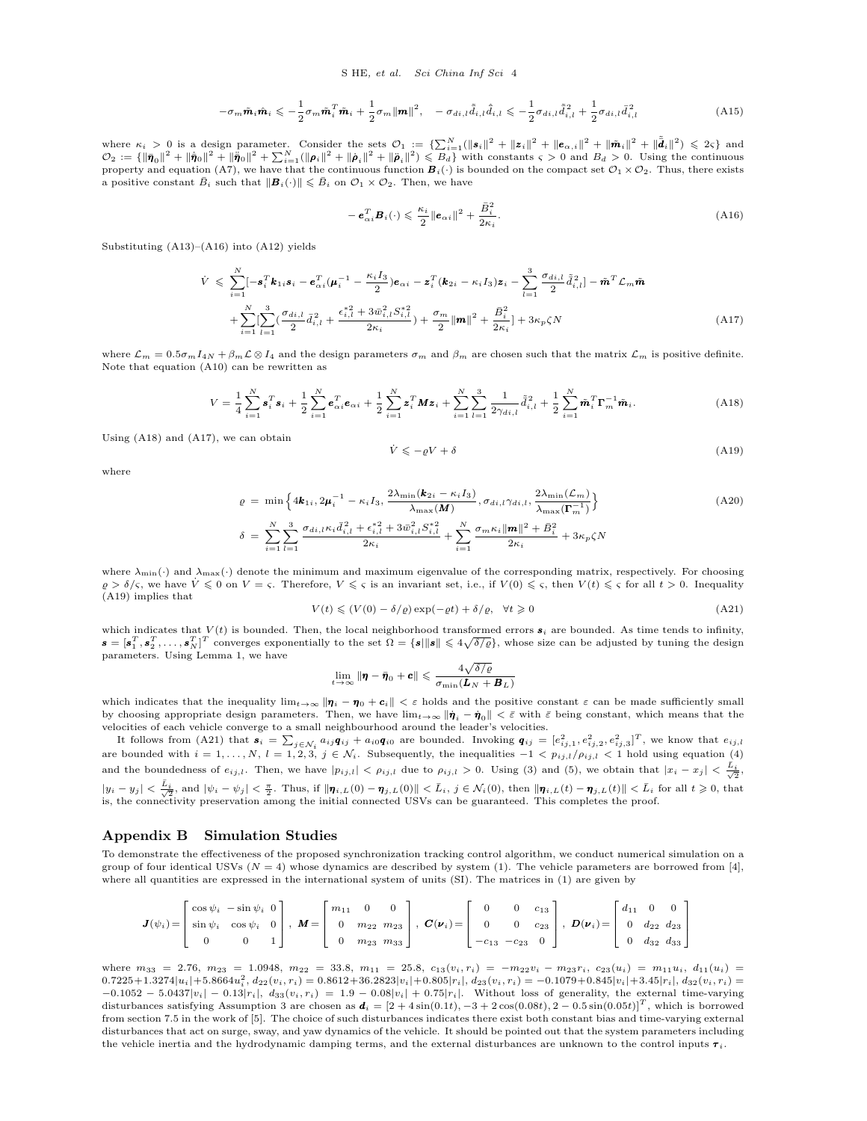$$
-\sigma_m \tilde{\boldsymbol{m}}_i \hat{\boldsymbol{m}}_i \leqslant -\frac{1}{2} \sigma_m \tilde{\boldsymbol{m}}_i^T \tilde{\boldsymbol{m}}_i + \frac{1}{2} \sigma_m \|\boldsymbol{m}\|^2, \quad -\sigma_{di,l} \tilde{\bar{d}}_{i,l} \tilde{\bar{d}}_{i,l} \leqslant -\frac{1}{2} \sigma_{di,l} \tilde{\bar{d}}_{i,l}^2 + \frac{1}{2} \sigma_{di,l} \bar{\bar{d}}_{i,l}^2 \tag{A15}
$$

where  $\kappa_i > 0$  is a design parameter. Consider the sets  $\mathcal{O}_1 := \{\sum_{i=1}^N (\|\mathbf{s}_i\|^2 + \|\mathbf{z}_i\|^2 + \|\mathbf{e}_{\alpha,i}\|^2 + \|\tilde{\mathbf{m}}_i\|^2 + \|\tilde{\mathbf{d}}_i\|^2)\leqslant 2\varsigma\}$  and  $\mathcal{O}_2 := \{\|\bar{\pmb{\eta}}_0\|^2 + \|\dot{\bar{\pmb{\eta}}}_0\|^2 + \|\ddot{\bar{\pmb{\eta}}}_0\|^2 + \sum_{i=1}^N (\|\pmb{\rho}_i\|^2 + \|\dot{\pmb{\rho}}_i\|^2 + \|\ddot{\pmb{\rho}}_i\|^2)\leqslant B_d\}$  with constants  $\varsigma > 0$  and  $B_d > 0$ . Using the continuous property and equation (A7), we have that the continuous function  $B_i(\cdot)$  is bounded on the compact set  $\mathcal{O}_1 \times \mathcal{O}_2$ . Thus, there exists a positive constant  $\bar{B}_i$  such that  $\|\mathbf{B}_i(\cdot)\| \leqslant \bar{B}_i$  on  $\mathcal{O}_1 \times \mathcal{O}_2$ . Then, we have

$$
-\boldsymbol{e}_{\alpha i}^T \boldsymbol{B}_i(\cdot) \leqslant \frac{\kappa_i}{2} \|\boldsymbol{e}_{\alpha i}\|^2 + \frac{\bar{B}_i^2}{2\kappa_i}.
$$
\n(A16)

Substituting  $(A13)$ – $(A16)$  into  $(A12)$  yields

$$
\dot{V} \leq \sum_{i=1}^{N} [-\mathbf{s}_{i}^{T} \mathbf{k}_{1i} \mathbf{s}_{i} - \mathbf{e}_{\alpha i}^{T} (\mu_{i}^{-1} - \frac{\kappa_{i} I_{3}}{2}) \mathbf{e}_{\alpha i} - \mathbf{z}_{i}^{T} (\mathbf{k}_{2i} - \kappa_{i} I_{3}) \mathbf{z}_{i} - \sum_{l=1}^{3} \frac{\sigma_{di,l}}{2} \tilde{d}_{i,l}^{2}] - \tilde{\mathbf{m}}^{T} \mathcal{L}_{m} \tilde{\mathbf{m}}
$$
\n
$$
+ \sum_{i=1}^{N} [\sum_{l=1}^{3} (\frac{\sigma_{di,l}}{2} \tilde{d}_{i,l}^{2} + \frac{\epsilon_{i,l}^{*2} + 3 \bar{w}_{i,l}^{2} S_{i,l}^{*2}}{2 \kappa_{i}}) + \frac{\sigma_{m}}{2} ||\mathbf{m}||^{2} + \frac{\bar{B}_{i}^{2}}{2 \kappa_{i}}] + 3 \kappa_{p} \zeta N \tag{A17}
$$

where  $\mathcal{L}_m = 0.5\sigma_m I_{4N} + \beta_m \mathcal{L} \otimes I_4$  and the design parameters  $\sigma_m$  and  $\beta_m$  are chosen such that the matrix  $\mathcal{L}_m$  is positive definite. Note that equation (A10) can be rewritten as

$$
V = \frac{1}{4} \sum_{i=1}^{N} \mathbf{s}_{i}^{T} \mathbf{s}_{i} + \frac{1}{2} \sum_{i=1}^{N} \mathbf{e}_{\alpha i}^{T} \mathbf{e}_{\alpha i} + \frac{1}{2} \sum_{i=1}^{N} \mathbf{z}_{i}^{T} \mathbf{M} \mathbf{z}_{i} + \sum_{i=1}^{N} \sum_{l=1}^{3} \frac{1}{2 \gamma_{di,l}} \tilde{\tilde{d}}_{i,l}^{2} + \frac{1}{2} \sum_{i=1}^{N} \tilde{\mathbf{m}}_{i}^{T} \mathbf{\Gamma}_{m}^{-1} \tilde{\mathbf{m}}_{i}.
$$
 (A18)

Using (A18) and (A17), we can obtain

$$
\dot{V} \leqslant -\varrho V + \delta \tag{A19}
$$

where

$$
\varrho = \min \left\{ 4\mathbf{k}_{1i}, 2\mathbf{\mu}_{i}^{-1} - \kappa_{i} I_{3}, \frac{2\lambda_{\min}(\mathbf{k}_{2i} - \kappa_{i} I_{3})}{\lambda_{\max}(\mathbf{M})}, \sigma_{di, l} \gamma_{di, l}, \frac{2\lambda_{\min}(\mathcal{L}_{m})}{\lambda_{\max}(\mathbf{\Gamma}_{m}^{-1})} \right\}
$$
\n
$$
\delta = \sum_{i=1}^{N} \sum_{l=1}^{3} \frac{\sigma_{di, l} \kappa_{i} \bar{d}_{i, l}^{2} + \epsilon_{i, l}^{*2} + 3\bar{w}_{i, l}^{2} S_{i, l}^{*2}}{2\kappa_{i}} + \sum_{i=1}^{N} \frac{\sigma_{m} \kappa_{i} \|\mathbf{m}\|^{2} + \bar{B}_{i}^{2}}{2\kappa_{i}} + 3\kappa_{p} \zeta N}
$$
\n(A20)

where  $\lambda_{\min}(\cdot)$  and  $\lambda_{\max}(\cdot)$  denote the minimum and maximum eigenvalue of the corresponding matrix, respectively. For choosing  $g > \delta/\varsigma$ , we have  $\dot{V} \leq 0$  on  $V = \varsigma$ . Therefore,  $V \leqslant \varsigma$  is an invariant set, i.e., if  $V(0) \leqslant \varsigma$ , then  $V(t) \leqslant \varsigma$  for all  $t > 0$ . Inequality (A19) implies that

$$
V(t) \le (V(0) - \delta/\varrho) \exp(-\varrho t) + \delta/\varrho, \quad \forall t \ge 0
$$
\n(A21)

which indicates that  $V(t)$  is bounded. Then, the local neighborhood transformed errors  $s_i$  are bounded. As time tends to infinity,  $\mathbf{s} = [\mathbf{s}_1^T, \mathbf{s}_2^T, \dots, \mathbf{s}_N^T]^T$  converges exponentially to the set  $\Omega = {\|\mathbf{s}\| \|\mathbf{s}\| \leq 4\sqrt{\delta/\varrho}}$ , whose size can be adjusted by tuning the design parameters. Using Lemma 1, we have

$$
\lim_{t \to \infty} \|\pmb{\eta} - \bar{\pmb{\eta}}_0 + \pmb{c}\| \leqslant \frac{4\sqrt{\delta/\varrho}}{\sigma_{\min}(\pmb{L}_N + \pmb{B}_L)}
$$

which indicates that the inequality  $\lim_{t\to\infty} |\eta_i - \eta_0 + c_i| < \varepsilon$  holds and the positive constant  $\varepsilon$  can be made sufficiently small by choosing appropriate design parameters. Then, we have  $\lim_{t\to\infty} \|\dot{\pmb{\eta}}_i - \dot{\pmb{\eta}}_0\| < \bar{\varepsilon}$  with  $\bar{\varepsilon}$  being constant, which means that the velocities of each vehicle converge to a small neighbourhood around the leader's velocities.

It follows from (A21) that  $s_i = \sum_{j \in \mathcal{N}_i} a_{ij} q_{ij} + a_{i0} q_{i0}$  are bounded. Invoking  $q_{ij} = [e_{ij,1}^2, e_{ij,2}^2, e_{ij,3}^2]^T$ , we know that  $e_{ij,l}$ are bounded with  $i = 1, ..., N$ ,  $l = 1, 2, 3$ ,  $j \in \mathcal{N}_i$ . Subsequently, the inequalities  $-1 < p_{ij,l}/p_{ij,l} < 1$  hold using equation (4) and the boundedness of  $e_{ij,l}$ . Then, we have  $|p_{ij,l}| < \rho_{ij,l}$  due to  $\rho_{ij,l} > 0$ . Using (3) and (5), we obtain that  $|x_i - x_j| < \frac{\bar{L}_i}{\sqrt{2}}$ ,  $|y_i-y_j|<\frac{\bar{L}_i}{\sqrt{2}}$ , and  $|\psi_i-\psi_j|<\frac{\pi}{2}$ . Thus, if  $\|\pmb{\eta}_{i,L}(0)-\pmb{\eta}_{j,L}(0)\|<\bar{L}_i$ ,  $j\in\mathcal{N}_i(0)$ , then  $\|\pmb{\eta}_{i,L}(t)-\pmb{\eta}_{j,L}(t)\|<\bar{L}_i$  for all  $t\geqslant 0$ , that is, the connectivity preservation among the initial connected USVs can be guaranteed. This completes the proof.

## **Appendix B Simulation Studies**

To demonstrate the effectiveness of the proposed synchronization tracking control algorithm, we conduct numerical simulation on a group of four identical USVs ( $N = 4$ ) whose dynamics are described by system (1). The vehicle parameters are borrowed from [4], where all quantities are expressed in the international system of units (SI). The matrices in (1) are given by

$$
\boldsymbol{J}(\psi_i) = \begin{bmatrix} \cos\psi_i & -\sin\psi_i & 0 \\ \sin\psi_i & \cos\psi_i & 0 \\ 0 & 0 & 1 \end{bmatrix}, \ \boldsymbol{M} = \begin{bmatrix} m_{11} & 0 & 0 \\ 0 & m_{22} & m_{23} \\ 0 & m_{23} & m_{33} \end{bmatrix}, \ \boldsymbol{C}(\boldsymbol{\nu}_i) = \begin{bmatrix} 0 & 0 & c_{13} \\ 0 & 0 & c_{23} \\ -c_{13} & -c_{23} & 0 \end{bmatrix}, \ \boldsymbol{D}(\boldsymbol{\nu}_i) = \begin{bmatrix} d_{11} & 0 & 0 \\ 0 & d_{22} & d_{23} \\ 0 & d_{32} & d_{33} \end{bmatrix}
$$

where  $m_{33} = 2.76$ ,  $m_{23} = 1.0948$ ,  $m_{22} = 33.8$ ,  $m_{11} = 25.8$ ,  $c_{13}(v_i, r_i) = -m_{22}v_i - m_{23}r_i$ ,  $c_{23}(u_i) = m_{11}u_i$ ,  $d_{11}(u_i) =$  $0.7225+1.3274|u_i|+5.8664u_i^2,\ d_{22}(v_i,r_i)=0.8612+36.2823|v_i|+0.805|r_i|,\ d_{23}(v_i,r_i)=-0.1079+0.845|v_i|+3.45|r_i|,\ d_{32}(v_i,r_i)=0.0725+0.845|v_i|$  $-0.1052 - 5.0437|v_i| - 0.13|r_i|$ ,  $d_{33}(v_i, r_i) = 1.9 - 0.08|v_i| + 0.75|r_i|$ . Without loss of generality, the external time-varying disturbances satisfying Assumption 3 are chosen as  $\mathbf{d}_i = [2 + 4\sin(0.1t), -3 + 2\cos(0.08t), 2 - 0.5\sin(0.05t)]^T$ , which is borrowed from section 7.5 in the work of [5]. The choice of such disturbances indicates there exist both constant bias and time-varying external disturbances that act on surge, sway, and yaw dynamics of the vehicle. It should be pointed out that the system parameters including the vehicle inertia and the hydrodynamic damping terms, and the external disturbances are unknown to the control inputs *τ <sup>i</sup>*.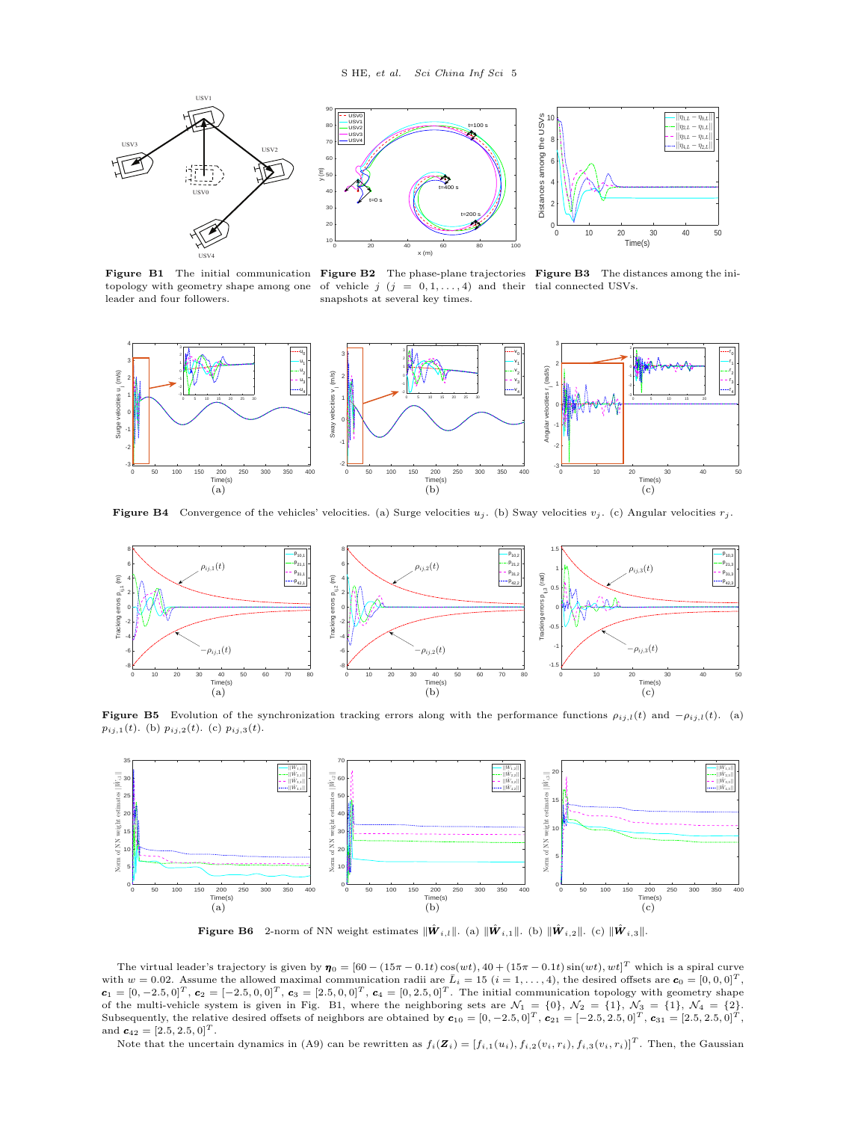

**Figure B1** The initial communication **Figure B2** The phase-plane trajectories **Figure B3** The distances among the inileader and four followers.





topology with geometry shape among one of vehicle  $j$   $(j = 0, 1, \ldots, 4)$  and their tial connected USVs. snapshots at several key times.



**Figure B4** Convergence of the vehicles' velocities. (a) Surge velocities  $u_j$ . (b) Sway velocities  $v_j$ . (c) Angular velocities  $r_j$ .



**Figure B5** Evolution of the synchronization tracking errors along with the performance functions  $\rho_{ij,l}(t)$  and  $-\rho_{ij,l}(t)$ . (a) *pij,*1(*t*). (b) *pij,*2(*t*). (c) *pij,*3(*t*).



 $\hat{\mathbf{F}}$  **Figure B6** 2-norm of NN weight estimates  $\|\hat{\boldsymbol{W}}_{i,l}\|$ . (a)  $\|\hat{\boldsymbol{W}}_{i,1}\|$ . (b)  $\|\hat{\boldsymbol{W}}_{i,2}\|$ . (c)  $\|\hat{\boldsymbol{W}}_{i,3}\|$ .

The virtual leader's trajectory is given by  $\eta_0 = [60 - (15\pi - 0.1t)\cos(wt), 40 + (15\pi - 0.1t)\sin(wt), wt]^T$  which is a spiral curve with  $w = 0.02$ . Assume the allowed maximal communication radii are  $\bar{L}_i = 15$   $(i = 1, \ldots, 4)$ , the desired offsets are  $\mathbf{c}_0 = [0, 0, 0]^T$ ,  $\mathbf{c}_1 = [0, -2.5, 0]^T$ ,  $\mathbf{c}_2 = [-2.5, 0, 0]^T$ ,  $\mathbf{c}_3 = [2.5, 0, 0]^T$ ,  $\mathbf{c}_4 = [0, 2.5, 0]^T$ . The initial communication topology with geometry shape of the multi-vehicle system is given in Fig. B1, where the neighboring sets are  $\mathcal{N}_1 = \{0\}$ ,  $\mathcal{N}_2 = \{1\}$ ,  $\mathcal{N}_3 = \{1\}$ ,  $\mathcal{N}_4 = \{2\}$ .<br>Subsequently, the relative desired offsets of neighbors are obtained by and  $c_{42} = [2.5, 2.5, 0]^T$ .

Note that the uncertain dynamics in (A9) can be rewritten as  $f_i(\mathbf{Z}_i) = [f_{i,1}(u_i), f_{i,2}(v_i, r_i), f_{i,3}(v_i, r_i)]^T$ . Then, the Gaussian